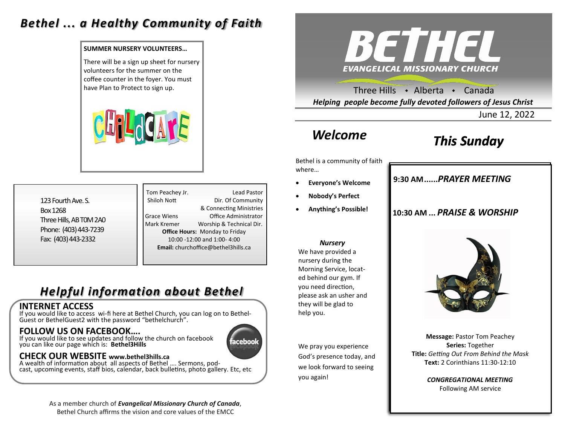### *Bethel ... a Healthy Community of Faith*

#### **SUMMER NURSERY VOLUNTEERS…**

There will be a sign up sheet for nursery volunteers for the summer on the coffee counter in the foyer. You must



123 Fourth Ave. S. Box 1268 Three Hills, AB T0M 2A0 Phone: (403) 443-7239 Fax: (403) 443-2332

Tom Peachey Jr. **Lead Pastor** Shiloh Nott Dir. Of Community & Connecting Ministries Grace Wiens Office Administrator Mark Kremer Worship & Technical Dir. **Office Hours:** Monday to Friday 10:00 -12:00 and 1:00- 4:00 **Email:** churchoffice@bethel3hills.ca

# *Helpful information about Bethel*

### **INTERNET ACCESS**

If you would like to access wi-fi here at Bethel Church, you can log on to Bethel-Guest or BethelGuest2 with the password "bethelchurch".

### **FOLLOW US ON FACEBOOK….**

If you would like to see updates and follow the church on facebook you can like our page which is: **Bethel3Hills**

# aceboo

### **CHECK OUR WEBSITE www.bethel3hills.ca**

A wealth of information about all aspects of Bethel …. Sermons, podcast, upcoming events, staff bios, calendar, back bulletins, photo gallery. Etc, etc

> As a member church of *Evangelical Missionary Church of Canada*, Bethel Church affirms the vision and core values of the EMCC



have Plan to Protect to sign up.  $\blacksquare$ *Helping people become fully devoted followers of Jesus Christ*

June 12, 2022

# *Welcome*

# *This Sunday*

Bethel is a community of faith where…

- **Everyone's Welcome**
- **Nobody's Perfect**
- **Anything's Possible!**

#### *Nursery*

We have provided a nursery during the Morning Service, located behind our gym. If you need direction, please ask an usher and they will be glad to help you.

We pray you experience God's presence today, and we look forward to seeing you again!

### **9:30 AM......***SUNDAY SCHOOL* **9:30 AM......***PRAYER MEETING*

### **10:30 AM ...** *PRAISE & WORSHIP*



**Message:** Pastor Tom Peachey **Series:** Together **Title:** *Getting Out From Behind the Mask* **Text:** 2 Corinthians 11:30-12:10

> *CONGREGATIONAL MEETING* Following AM service